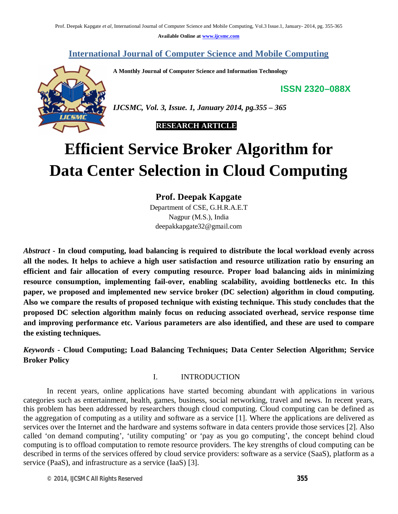**Available Online at www.ijcsmc.com**

**International Journal of Computer Science and Mobile Computing**

**A Monthly Journal of Computer Science and Information Technology**

**ISSN 2320–088X**



*IJCSMC, Vol. 3, Issue. 1, January 2014, pg.355 – 365*

# **RESEARCH ARTICLE**

# **Efficient Service Broker Algorithm for Data Center Selection in Cloud Computing**

**Prof. Deepak Kapgate**

Department of CSE, G.H.R.A.E.T Nagpur (M.S.), India deepakkapgate32@gmail.com

*Abstract* **- In cloud computing, load balancing is required to distribute the local workload evenly across all the nodes. It helps to achieve a high user satisfaction and resource utilization ratio by ensuring an efficient and fair allocation of every computing resource. Proper load balancing aids in minimizing resource consumption, implementing fail-over, enabling scalability, avoiding bottlenecks etc. In this paper, we proposed and implemented new service broker (DC selection) algorithm in cloud computing. Also we compare the results of proposed technique with existing technique. This study concludes that the proposed DC selection algorithm mainly focus on reducing associated overhead, service response time and improving performance etc. Various parameters are also identified, and these are used to compare the existing techniques.**

*Keywords* **- Cloud Computing; Load Balancing Techniques; Data Center Selection Algorithm; Service Broker Policy**

### I. INTRODUCTION

In recent years, online applications have started becoming abundant with applications in various categories such as entertainment, health, games, business, social networking, travel and news. In recent years, this problem has been addressed by researchers though cloud computing. Cloud computing can be defined as the aggregation of computing as a utility and software as a service [1]. Where the applications are delivered as services over the Internet and the hardware and systems software in data centers provide those services [2]. Also called 'on demand computing', 'utility computing' or 'pay as you go computing', the concept behind cloud computing is to offload computation to remote resource providers. The key strengths of cloud computing can be described in terms of the services offered by cloud service providers: software as a service (SaaS), platform as a service (PaaS), and infrastructure as a service (IaaS) [3].

*© 2014, IJCSMC All Rights Reserved 355*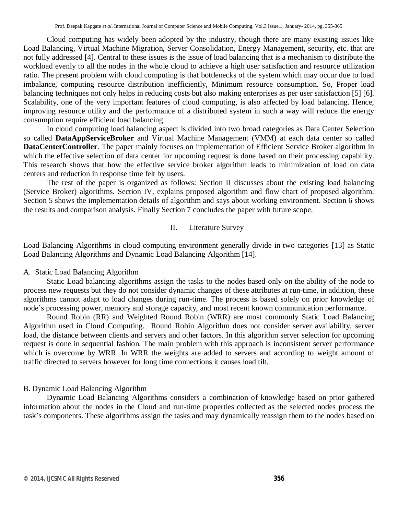Cloud computing has widely been adopted by the industry, though there are many existing issues like Load Balancing, Virtual Machine Migration, Server Consolidation, Energy Management, security, etc. that are not fully addressed [4]. Central to these issues is the issue of load balancing that is a mechanism to distribute the workload evenly to all the nodes in the whole cloud to achieve a high user satisfaction and resource utilization ratio. The present problem with cloud computing is that bottlenecks of the system which may occur due to load imbalance, computing resource distribution inefficiently, Minimum resource consumption. So, Proper load balancing techniques not only helps in reducing costs but also making enterprises as per user satisfaction [5] [6]. Scalability, one of the very important features of cloud computing, is also affected by load balancing. Hence, improving resource utility and the performance of a distributed system in such a way will reduce the energy consumption require efficient load balancing.

In cloud computing load balancing aspect is divided into two broad categories as Data Center Selection so called **DataAppServiceBroker** and Virtual Machine Management (VMM) at each data center so called **DataCenterController**. The paper mainly focuses on implementation of Efficient Service Broker algorithm in which the effective selection of data center for upcoming request is done based on their processing capability. This research shows that how the effective service broker algorithm leads to minimization of load on data centers and reduction in response time felt by users.

The rest of the paper is organized as follows: Section II discusses about the existing load balancing (Service Broker) algorithms. Section IV, explains proposed algorithm and flow chart of proposed algorithm. Section 5 shows the implementation details of algorithm and says about working environment. Section 6 shows the results and comparison analysis. Finally Section 7 concludes the paper with future scope.

#### II. Literature Survey

Load Balancing Algorithms in cloud computing environment generally divide in two categories [13] as Static Load Balancing Algorithms and Dynamic Load Balancing Algorithm [14].

#### A. Static Load Balancing Algorithm

Static Load balancing algorithms assign the tasks to the nodes based only on the ability of the node to process new requests but they do not consider dynamic changes of these attributes at run-time, in addition, these algorithms cannot adapt to load changes during run-time. The process is based solely on prior knowledge of node's processing power, memory and storage capacity, and most recent known communication performance.

Round Robin (RR) and Weighted Round Robin (WRR) are most commonly Static Load Balancing Algorithm used in Cloud Computing. Round Robin Algorithm does not consider server availability, server load, the distance between clients and servers and other factors. In this algorithm server selection for upcoming request is done in sequential fashion. The main problem with this approach is inconsistent server performance which is overcome by WRR. In WRR the weights are added to servers and according to weight amount of traffic directed to servers however for long time connections it causes load tilt.

### B. Dynamic Load Balancing Algorithm

Dynamic Load Balancing Algorithms considers a combination of knowledge based on prior gathered information about the nodes in the Cloud and run-time properties collected as the selected nodes process the task's components. These algorithms assign the tasks and may dynamically reassign them to the nodes based on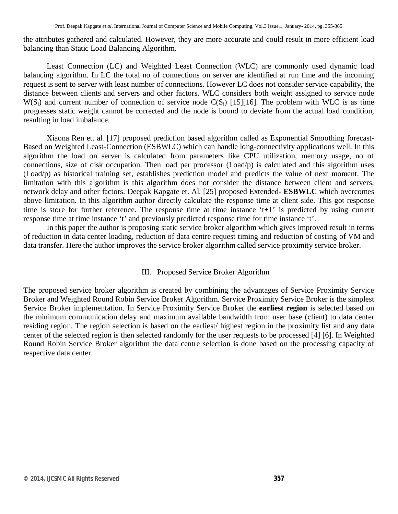the attributes gathered and calculated. However, they are more accurate and could result in more efficient load balancing than Static Load Balancing Algorithm.

Least Connection (LC) and Weighted Least Connection (WLC) are commonly used dynamic load balancing algorithm. In LC the total no of connections on server are identified at run time and the incoming request is sent to server with least number of connections. However LC does not consider service capability, the distance between clients and servers and other factors. WLC considers both weight assigned to service node  $W(S_i)$  and current number of connection of service node  $C(S_i)$  [15][16]. The problem with WLC is as time progresses static weight cannot be corrected and the node is bound to deviate from the actual load condition, resulting in load imbalance.

Xiaona Ren et. al. [17] proposed prediction based algorithm called as Exponential Smoothing forecast-Based on Weighted Least-Connection (ESBWLC) which can handle long-connectivity applications well. In this algorithm the load on server is calculated from parameters like CPU utilization, memory usage, no of connections, size of disk occupation. Then load per processor (Load/p) is calculated and this algorithm uses (Load/p) as historical training set, establishes prediction model and predicts the value of next moment. The limitation with this algorithm is this algorithm does not consider the distance between client and servers, network delay and other factors. Deepak Kapgate et. Al. [25] proposed Extended**- ESBWLC** which overcomes above limitation. In this algorithm author directly calculate the response time at client side. This got response time is store for further reference. The response time at time instance 't+1' is predicted by using current response time at time instance 't' and previously predicted response time for time instance 't'.

In this paper the author is proposing static service broker algorithm which gives improved result in terms of reduction in data center loading, reduction of data centre request timing and reduction of costing of VM and data transfer. Here the author improves the service broker algorithm called service proximity service broker.

#### III. Proposed Service Broker Algorithm

The proposed service broker algorithm is created by combining the advantages of Service Proximity Service Broker and Weighted Round Robin Service Broker Algorithm. Service Proximity Service Broker is the simplest Service Broker implementation. In Service Proximity Service Broker the **earliest region** is selected based on the minimum communication delay and maximum available bandwidth from user base (client) to data center residing region. The region selection is based on the earliest/ highest region in the proximity list and any data center of the selected region is then selected randomly for the user requests to be processed [4] [6]. In Weighted Round Robin Service Broker algorithm the data centre selection is done based on the processing capacity of respective data center.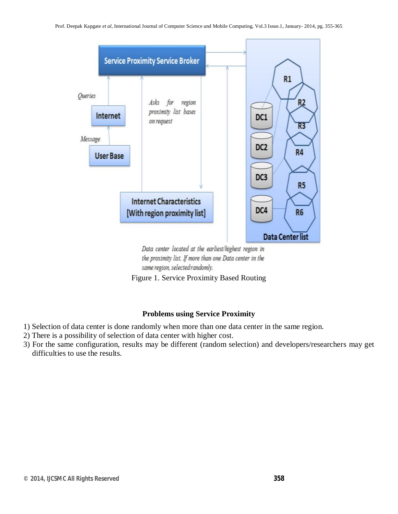

Data center located at the earliest/highest region in the proximity list. If more than one Data center in the same region, selected randomly.

Figure 1. Service Proximity Based Routing

# **Problems using Service Proximity**

- 1) Selection of data center is done randomly when more than one data center in the same region.
- 2) There is a possibility of selection of data center with higher cost.
- 3) For the same configuration, results may be different (random selection) and developers/researchers may get difficulties to use the results.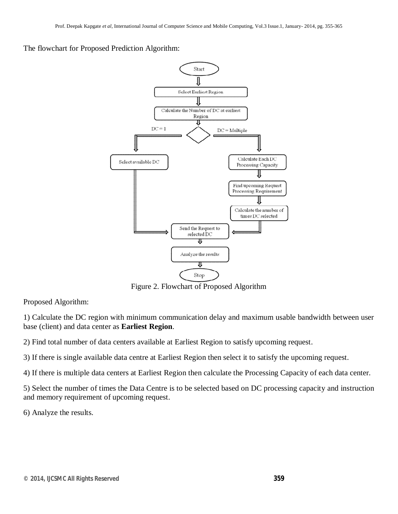The flowchart for Proposed Prediction Algorithm:



Figure 2. Flowchart of Proposed Algorithm

Proposed Algorithm:

1) Calculate the DC region with minimum communication delay and maximum usable bandwidth between user base (client) and data center as **Earliest Region**.

2) Find total number of data centers available at Earliest Region to satisfy upcoming request.

3) If there is single available data centre at Earliest Region then select it to satisfy the upcoming request.

4) If there is multiple data centers at Earliest Region then calculate the Processing Capacity of each data center.

5) Select the number of times the Data Centre is to be selected based on DC processing capacity and instruction and memory requirement of upcoming request.

6) Analyze the results.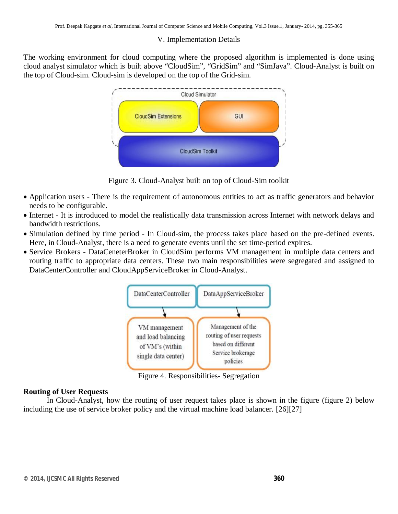#### V. Implementation Details

The working environment for cloud computing where the proposed algorithm is implemented is done using cloud analyst simulator which is built above "CloudSim", "GridSim" and "SimJava". Cloud-Analyst is built on the top of Cloud-sim. Cloud-sim is developed on the top of the Grid-sim.



Figure 3. Cloud-Analyst built on top of Cloud-Sim toolkit

- Application users There is the requirement of autonomous entities to act as traffic generators and behavior needs to be configurable.
- Internet It is introduced to model the realistically data transmission across Internet with network delays and bandwidth restrictions.
- Simulation defined by time period In Cloud-sim, the process takes place based on the pre-defined events. Here, in Cloud-Analyst, there is a need to generate events until the set time-period expires.
- Service Brokers DataCeneterBroker in CloudSim performs VM management in multiple data centers and routing traffic to appropriate data centers. These two main responsibilities were segregated and assigned to DataCenterController and CloudAppServiceBroker in Cloud-Analyst.



Figure 4. Responsibilities- Segregation

#### **Routing of User Requests**

In Cloud-Analyst, how the routing of user request takes place is shown in the figure (figure 2) below including the use of service broker policy and the virtual machine load balancer. [26][27]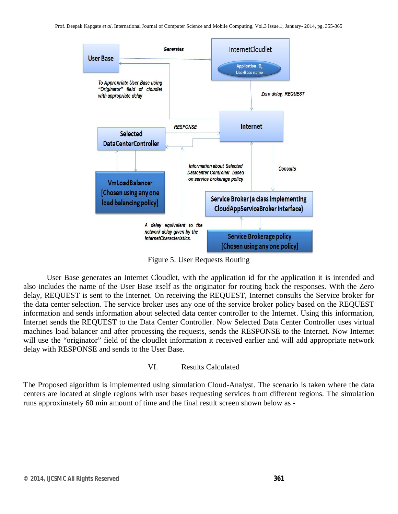

Figure 5. User Requests Routing

User Base generates an Internet Cloudlet, with the application id for the application it is intended and also includes the name of the User Base itself as the originator for routing back the responses. With the Zero delay, REQUEST is sent to the Internet. On receiving the REQUEST, Internet consults the Service broker for the data center selection. The service broker uses any one of the service broker policy based on the REQUEST information and sends information about selected data center controller to the Internet. Using this information, Internet sends the REQUEST to the Data Center Controller. Now Selected Data Center Controller uses virtual machines load balancer and after processing the requests, sends the RESPONSE to the Internet. Now Internet will use the "originator" field of the cloudlet information it received earlier and will add appropriate network delay with RESPONSE and sends to the User Base.

### VI. Results Calculated

The Proposed algorithm is implemented using simulation Cloud-Analyst. The scenario is taken where the data centers are located at single regions with user bases requesting services from different regions. The simulation runs approximately 60 min amount of time and the final result screen shown below as -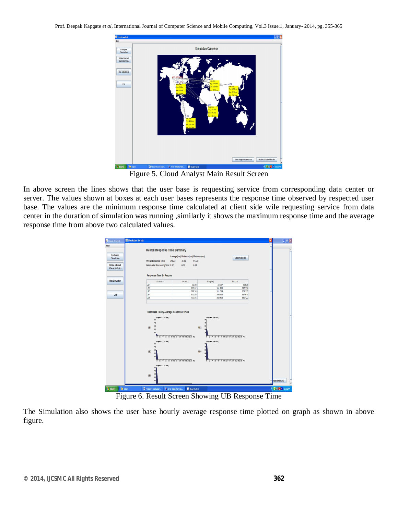Prof. Deepak Kapgate *et al*, International Journal of Computer Science and Mobile Computing, Vol.3 Issue.1, January- 2014, pg. 355-365



Figure 5. Cloud Analyst Main Result Screen

In above screen the lines shows that the user base is requesting service from corresponding data center or server. The values shown at boxes at each user bases represents the response time observed by respected user base. The values are the minimum response time calculated at client side wile requesting service from data center in the duration of simulation was running ,similarly it shows the maximum response time and the average response time from above two calculated values.



Figure 6. Result Screen Showing UB Response Time

The Simulation also shows the user base hourly average response time plotted on graph as shown in above figure.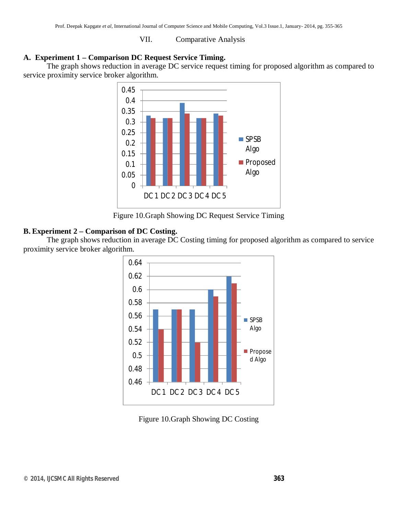#### VII. Comparative Analysis

#### **A. Experiment 1 – Comparison DC Request Service Timing.**

The graph shows reduction in average DC service request timing for proposed algorithm as compared to service proximity service broker algorithm.



Figure 10.Graph Showing DC Request Service Timing

## **B. Experiment 2 – Comparison of DC Costing.**

The graph shows reduction in average DC Costing timing for proposed algorithm as compared to service proximity service broker algorithm.



Figure 10.Graph Showing DC Costing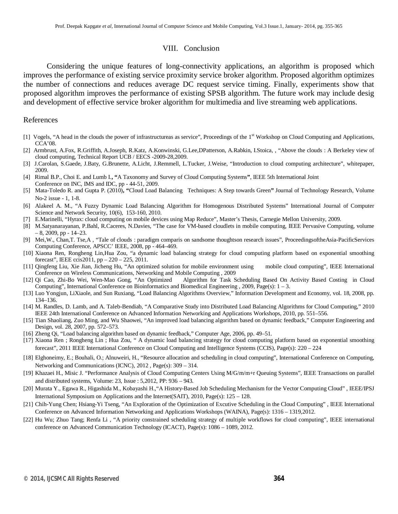#### VIII. Conclusion

Considering the unique features of long-connectivity applications, an algorithm is proposed which improves the performance of existing service proximity service broker algorithm. Proposed algorithm optimizes the number of connections and reduces average DC request service timing. Finally, experiments show that proposed algorithm improves the performance of existing SPSB algorithm. The future work may include desig and development of effective service broker algorithm for multimedia and live streaming web applications.

#### References

- [1] Vogels, "A head in the clouds the power of infrastructureas as service", Proceedings of the 1<sup>st</sup> Workshop on Cloud Computing and Applications, CCA'08.
- [2] Armbrust, A.Fox, R.Griffith, A.Joseph, R.Katz, A.Konwinski, G.Lee,DPatterson, A.Rabkin, I.Stoica, , "Above the clouds : A Berkeley view of cloud computing, Technical Report UCB / EECS -2009-28,2009.
- [3] J.Carolan, S.Gaede, J.Baty, G.Brunette, A.Licht, J.Remmell, L.Tucker, J.Weise, "Introduction to cloud computing architecture", whitepaper, 2009.
- [4] Rimal B.P., Choi E. and Lumb I.**, "**A Taxonomy and Survey of Cloud Computing Systems**"**, IEEE 5th International Joint Conference on INC, IMS and IDC, pp - 44-51, 2009.
- [5] Mata-Toledo R. and Gupta P. (2010)**, "**Cloud Load Balancing Techniques: A Step towards Green**"** Journal of Technology Research, Volume No-2 issue - 1, 1-8.
- [6] Alakeel A. M., "A Fuzzy Dynamic Load Balancing Algorithm for Homogenous Distributed Systems" International Journal of Computer Science and Network Security, 10(6), 153-160, 2010.
- [7] E.Marinelli, "Hyrax: cloud computing on mobile devices using Map Reduce", Master's Thesis, Carnegie Mellon University, 2009.
- [8] M.Satyanarayanan, P.Bahl, R.Caceres, N.Davies, "The case for VM-based cloudlets in mobile computing, IEEE Pervasive Computing, volume  $-8$ , 2009, pp  $-14-23$ .
- [9] Mei,W., Chan,T. Tse,A , "Tale of clouds : paradigm comparis on sandsome thoughtson research issues", ProceedingsoftheAsia-PacificServices Computing Conference, APSCC' IEEE, 2008, pp - 464–469.
- [10] Xiaona Ren, Rongheng Lin,Hua Zou, "a dynamic load balancing strategy for cloud computing platform based on exponential smoothing forecast", IEEE ccis2011, pp – 220 – 225, 2011.
- [11] Qingfeng Liu, Xie Jian, Jicheng Hu, "An optimized solution for mobile environment using mobile cloud computing", IEEE International
- Conference on Wireless Communications, Networking and Mobile Computing , 2009 Algorithm for Task Scheduling Based On Activity Based Costing in Cloud Computing", International Conference on Bioinformatics and Biomedical Engineering , 2009, Page(s): 1 – 3.
- [13] Luo Yongjun, LiXiaole, and Sun Ruxiang, "Load Balancing Algorithms Overview," Information Development and Economy, vol. 18, 2008, pp. 134–136.
- [14] M. Randles, D. Lamb, and A. Taleb-Bendiab, "A Comparative Study into Distributed Load Balancing Algorithms for Cloud Computing," 2010 IEEE 24th International Conference on Advanced Information Networking and Applications Workshops, 2010, pp. 551–556.
- [15] Tian Shaoliang, Zuo Ming, and Wu Shaowei, "An improved load balancing algorithm based on dynamic feedback," Computer Engineering and Design, vol. 28, 2007, pp. 572–573.
- [16] Zheng Qi, "Load balancing algorithm based on dynamic feedback," Computer Age, 2006, pp. 49–51.
- [17] Xiaona Ren ; Rongheng Lin ; Hua Zou, " A dynamic load balancing strategy for cloud computing platform based on exponential smoothing forecast", 2011 IEEE International Conference on Cloud Computing and Intelligence Systems (CCIS), Page(s): 220 – 224
- [18] Elghoneimy, E.; Bouhali, O.; Alnuweiri, H., "Resource allocation and scheduling in cloud computing", International Conference on Computing, Networking and Communications (ICNC), 2012 , Page(s): 309 – 314.
- [19] Khazaei H., Misic J. "Performance Analysis of Cloud Computing Centers Using M/G/m/m+r Queuing Systems", IEEE Transactions on parallel and distributed systems, Volume: 23, Issue : 5,2012, PP: 936 – 943.
- [20] Murata Y., Egawa R., Higashida M., Kobayashi H.,"A History-Based Job Scheduling Mechanism for the Vector Computing Cloud" , IEEE/IPSJ International Symposium on Applications and the Internet(SAIT), 2010, Page(s): 125 – 128.
- [21] Chih-Yung Chen; Hsiang-Yi Tseng, "An Exploration of the Optimization of Excutive Scheduling in the Cloud Computing" , IEEE International Conference on Advanced Information Networking and Applications Workshops (WAINA), Page(s): 1316 – 1319,2012.
- [22] Hu Wu; Zhuo Tang; Renfa Li , "A priority constrained scheduling strategy of multiple workflows for cloud computing", IEEE international conference on Advanced Communication Technology (ICACT), Page(s): 1086 – 1089, 2012.